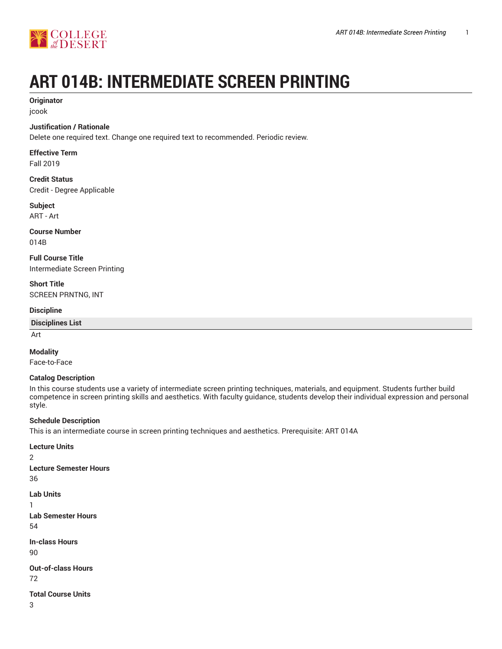

# **ART 014B: INTERMEDIATE SCREEN PRINTING**

### **Originator**

jcook

#### **Justification / Rationale**

Delete one required text. Change one required text to recommended. Periodic review.

### **Effective Term**

Fall 2019

#### **Credit Status** Credit - Degree Applicable

### **Subject**

ART - Art

### **Course Number**

014B

**Full Course Title** Intermediate Screen Printing

**Short Title** SCREEN PRNTNG, INT

#### **Discipline**

#### **Disciplines List**

Art

#### **Modality**

Face-to-Face

#### **Catalog Description**

In this course students use a variety of intermediate screen printing techniques, materials, and equipment. Students further build competence in screen printing skills and aesthetics. With faculty guidance, students develop their individual expression and personal style.

#### **Schedule Description**

This is an intermediate course in screen printing techniques and aesthetics. Prerequisite: ART 014A

### **Lecture Units** 2 **Lecture Semester Hours** 36 **Lab Units** 1 **Lab Semester Hours** 54 **In-class Hours** 90 **Out-of-class Hours** 72 **Total Course Units** 3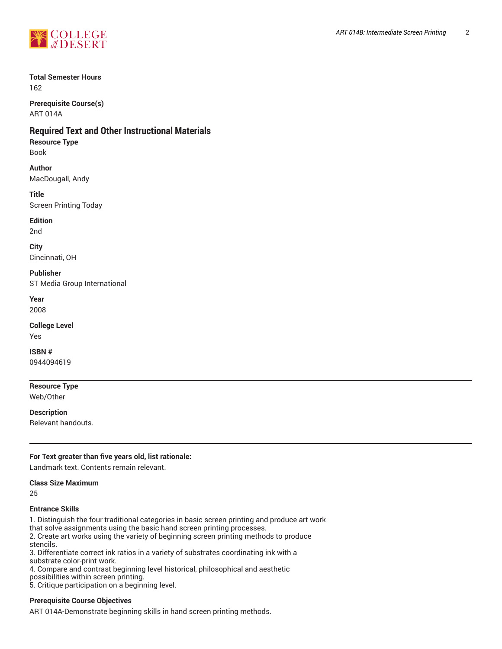

#### **Total Semester Hours**

162

**Prerequisite Course(s)** ART 014A

### **Required Text and Other Instructional Materials**

#### **Resource Type**

Book

#### **Author**

MacDougall, Andy

#### **Title**

Screen Printing Today

#### **Edition**

2nd

**City** Cincinnati, OH

**Publisher** ST Media Group International

**Year**

2008

#### **College Level** Yes

**ISBN #**

0944094619

**Resource Type** Web/Other

**Description** Relevant handouts.

#### **For Text greater than five years old, list rationale:**

Landmark text. Contents remain relevant.

#### **Class Size Maximum**

25

#### **Entrance Skills**

1. Distinguish the four traditional categories in basic screen printing and produce art work that solve assignments using the basic hand screen printing processes. 2. Create art works using the variety of beginning screen printing methods to produce stencils.

3. Differentiate correct ink ratios in a variety of substrates coordinating ink with a substrate color-print work.

4. Compare and contrast beginning level historical, philosophical and aesthetic

possibilities within screen printing.

5. Critique participation on a beginning level.

#### **Prerequisite Course Objectives**

ART 014A-Demonstrate beginning skills in hand screen printing methods.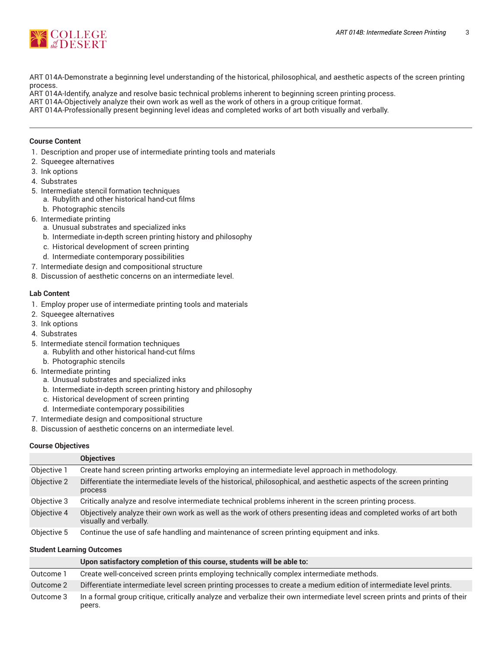

ART 014A-Demonstrate a beginning level understanding of the historical, philosophical, and aesthetic aspects of the screen printing process.

- ART 014A-Identify, analyze and resolve basic technical problems inherent to beginning screen printing process.
- ART 014A-Objectively analyze their own work as well as the work of others in a group critique format.

ART 014A-Professionally present beginning level ideas and completed works of art both visually and verbally.

#### **Course Content**

- 1. Description and proper use of intermediate printing tools and materials
- 2. Squeegee alternatives
- 3. Ink options
- 4. Substrates
- 5. Intermediate stencil formation techniques
	- a. Rubylith and other historical hand-cut films
	- b. Photographic stencils
- 6. Intermediate printing
	- a. Unusual substrates and specialized inks
	- b. Intermediate in-depth screen printing history and philosophy
	- c. Historical development of screen printing
	- d. Intermediate contemporary possibilities
- 7. Intermediate design and compositional structure
- 8. Discussion of aesthetic concerns on an intermediate level.

#### **Lab Content**

- 1. Employ proper use of intermediate printing tools and materials
- 2. Squeegee alternatives
- 3. Ink options
- 4. Substrates
- 5. Intermediate stencil formation techniques
	- a. Rubylith and other historical hand-cut films
- b. Photographic stencils
- 6. Intermediate printing
	- a. Unusual substrates and specialized inks
	- b. Intermediate in-depth screen printing history and philosophy
	- c. Historical development of screen printing
	- d. Intermediate contemporary possibilities
- 7. Intermediate design and compositional structure
- 8. Discussion of aesthetic concerns on an intermediate level.

#### **Course Objectives**

|             | <b>Objectives</b>                                                                                                                           |
|-------------|---------------------------------------------------------------------------------------------------------------------------------------------|
| Objective 1 | Create hand screen printing artworks employing an intermediate level approach in methodology.                                               |
| Objective 2 | Differentiate the intermediate levels of the historical, philosophical, and aesthetic aspects of the screen printing<br>process             |
| Objective 3 | Critically analyze and resolve intermediate technical problems inherent in the screen printing process.                                     |
| Objective 4 | Objectively analyze their own work as well as the work of others presenting ideas and completed works of art both<br>visually and verbally. |
| Objective 5 | Continue the use of safe handling and maintenance of screen printing equipment and inks.                                                    |

#### **Student Learning Outcomes**

|           | Upon satisfactory completion of this course, students will be able to:                                                                |
|-----------|---------------------------------------------------------------------------------------------------------------------------------------|
| Outcome 1 | Create well-conceived screen prints employing technically complex intermediate methods.                                               |
| Outcome 2 | Differentiate intermediate level screen printing processes to create a medium edition of intermediate level prints.                   |
| Outcome 3 | In a formal group critique, critically analyze and verbalize their own intermediate level screen prints and prints of their<br>peers. |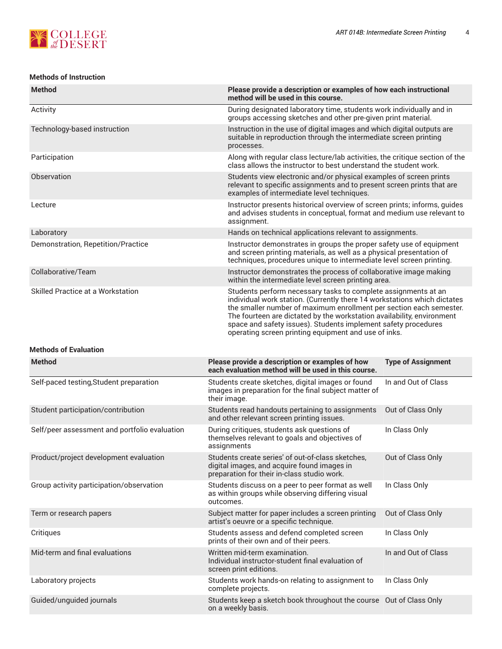

#### **Methods of Instruction**

| <b>Method</b>                      | Please provide a description or examples of how each instructional<br>method will be used in this course.                                                                                                                                                                                                                                                                                                             |
|------------------------------------|-----------------------------------------------------------------------------------------------------------------------------------------------------------------------------------------------------------------------------------------------------------------------------------------------------------------------------------------------------------------------------------------------------------------------|
| Activity                           | During designated laboratory time, students work individually and in<br>groups accessing sketches and other pre-given print material.                                                                                                                                                                                                                                                                                 |
| Technology-based instruction       | Instruction in the use of digital images and which digital outputs are<br>suitable in reproduction through the intermediate screen printing<br>processes.                                                                                                                                                                                                                                                             |
| Participation                      | Along with regular class lecture/lab activities, the critique section of the<br>class allows the instructor to best understand the student work.                                                                                                                                                                                                                                                                      |
| Observation                        | Students view electronic and/or physical examples of screen prints<br>relevant to specific assignments and to present screen prints that are<br>examples of intermediate level techniques.                                                                                                                                                                                                                            |
| Lecture                            | Instructor presents historical overview of screen prints; informs, guides<br>and advises students in conceptual, format and medium use relevant to<br>assignment.                                                                                                                                                                                                                                                     |
| Laboratory                         | Hands on technical applications relevant to assignments.                                                                                                                                                                                                                                                                                                                                                              |
| Demonstration, Repetition/Practice | Instructor demonstrates in groups the proper safety use of equipment<br>and screen printing materials, as well as a physical presentation of<br>techniques, procedures unique to intermediate level screen printing.                                                                                                                                                                                                  |
| Collaborative/Team                 | Instructor demonstrates the process of collaborative image making<br>within the intermediate level screen printing area.                                                                                                                                                                                                                                                                                              |
| Skilled Practice at a Workstation  | Students perform necessary tasks to complete assignments at an<br>individual work station. (Currently there 14 workstations which dictates<br>the smaller number of maximum enrollment per section each semester.<br>The fourteen are dictated by the workstation availability, environment<br>space and safety issues). Students implement safety procedures<br>operating screen printing equipment and use of inks. |

#### **Methods of Evaluation**

| <b>Method</b>                                 | Please provide a description or examples of how<br>each evaluation method will be used in this course.                                          | <b>Type of Assignment</b> |
|-----------------------------------------------|-------------------------------------------------------------------------------------------------------------------------------------------------|---------------------------|
| Self-paced testing, Student preparation       | Students create sketches, digital images or found<br>images in preparation for the final subject matter of<br>their image.                      | In and Out of Class       |
| Student participation/contribution            | Students read handouts pertaining to assignments<br>and other relevant screen printing issues.                                                  | Out of Class Only         |
| Self/peer assessment and portfolio evaluation | During critiques, students ask questions of<br>themselves relevant to goals and objectives of<br>assignments                                    | In Class Only             |
| Product/project development evaluation        | Students create series' of out-of-class sketches,<br>digital images, and acquire found images in<br>preparation for their in-class studio work. | Out of Class Only         |
| Group activity participation/observation      | Students discuss on a peer to peer format as well<br>as within groups while observing differing visual<br>outcomes.                             | In Class Only             |
| Term or research papers                       | Subject matter for paper includes a screen printing<br>artist's oeuvre or a specific technique.                                                 | Out of Class Only         |
| Critiques                                     | Students assess and defend completed screen<br>prints of their own and of their peers.                                                          | In Class Only             |
| Mid-term and final evaluations                | Written mid-term examination.<br>Individual instructor-student final evaluation of<br>screen print editions.                                    | In and Out of Class       |
| Laboratory projects                           | Students work hands-on relating to assignment to<br>complete projects.                                                                          | In Class Only             |
| Guided/unguided journals                      | Students keep a sketch book throughout the course<br>on a weekly basis.                                                                         | Out of Class Only         |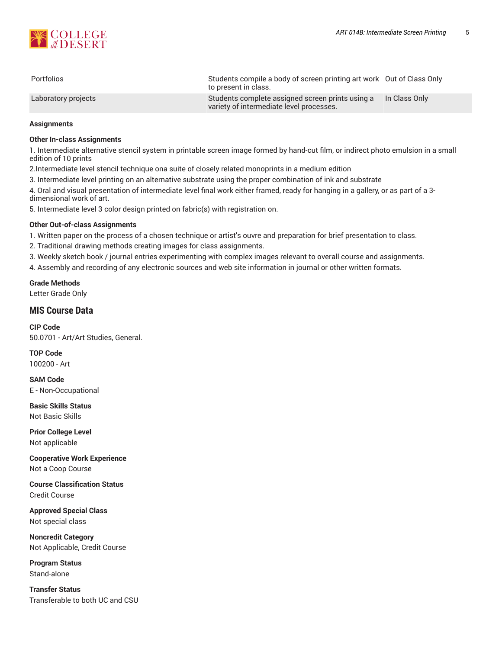

| <b>Portfolios</b>   | Students compile a body of screen printing art work Out of Class Only<br>to present in class. |               |
|---------------------|-----------------------------------------------------------------------------------------------|---------------|
| Laboratory projects | Students complete assigned screen prints using a<br>variety of intermediate level processes.  | In Class Only |

#### **Assignments**

#### **Other In-class Assignments**

1. Intermediate alternative stencil system in printable screen image formed by hand-cut film, or indirect photo emulsion in a small edition of 10 prints

2.Intermediate level stencil technique ona suite of closely related monoprints in a medium edition

3. Intermediate level printing on an alternative substrate using the proper combination of ink and substrate

4. Oral and visual presentation of intermediate level final work either framed, ready for hanging in a gallery, or as part of a 3 dimensional work of art.

5. Intermediate level 3 color design printed on fabric(s) with registration on.

#### **Other Out-of-class Assignments**

1. Written paper on the process of a chosen technique or artist's ouvre and preparation for brief presentation to class.

2. Traditional drawing methods creating images for class assignments.

3. Weekly sketch book / journal entries experimenting with complex images relevant to overall course and assignments.

4. Assembly and recording of any electronic sources and web site information in journal or other written formats.

**Grade Methods** Letter Grade Only

## **MIS Course Data**

**CIP Code** 50.0701 - Art/Art Studies, General.

**TOP Code** 100200 - Art

**SAM Code** E - Non-Occupational

**Basic Skills Status** Not Basic Skills

**Prior College Level** Not applicable

**Cooperative Work Experience** Not a Coop Course

**Course Classification Status** Credit Course

**Approved Special Class** Not special class

**Noncredit Category** Not Applicable, Credit Course

**Program Status** Stand-alone

**Transfer Status** Transferable to both UC and CSU